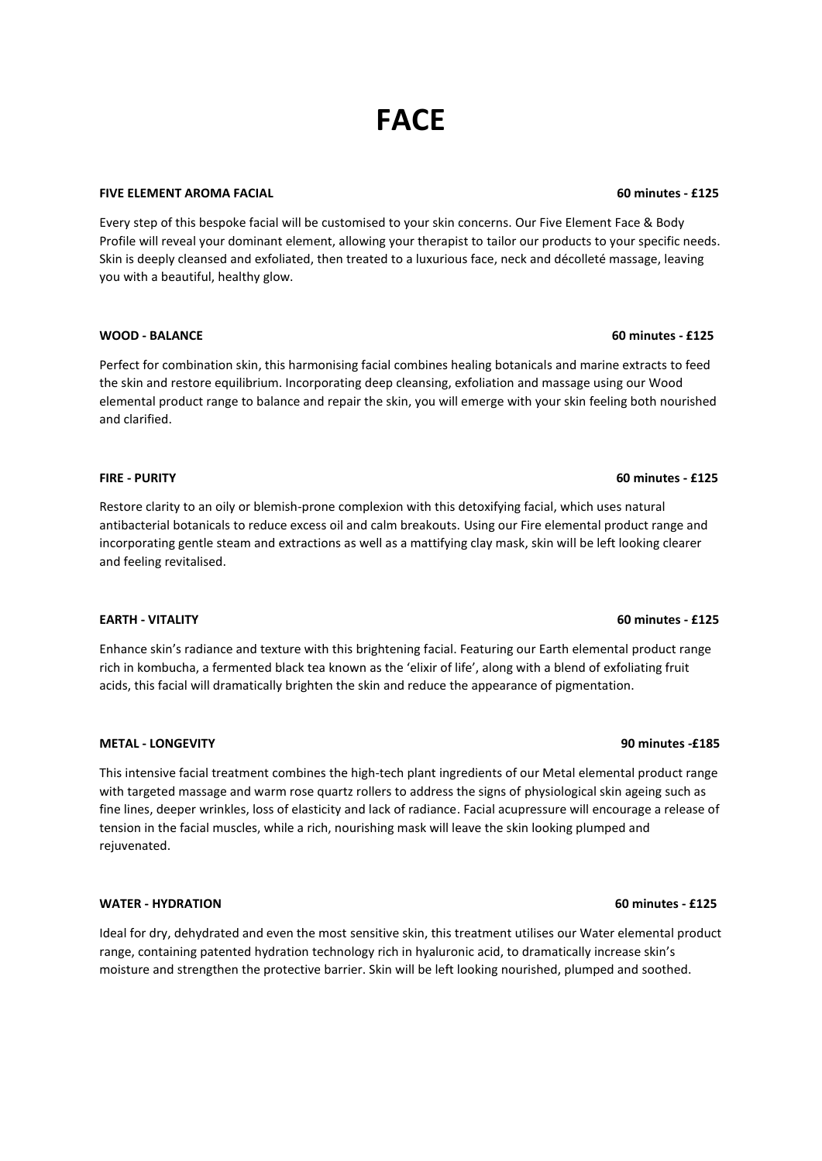# **FACE**

### **FIVE ELEMENT AROMA FACIAL 60 minutes - £125**

Every step of this bespoke facial will be customised to your skin concerns. Our Five Element Face & Body Profile will reveal your dominant element, allowing your therapist to tailor our products to your specific needs. Skin is deeply cleansed and exfoliated, then treated to a luxurious face, neck and décolleté massage, leaving you with a beautiful, healthy glow.

### **WOOD - BALANCE 60 minutes - £125**

Perfect for combination skin, this harmonising facial combines healing botanicals and marine extracts to feed the skin and restore equilibrium. Incorporating deep cleansing, exfoliation and massage using our Wood elemental product range to balance and repair the skin, you will emerge with your skin feeling both nourished and clarified.

### **FIRE - PURITY 60 minutes - £125**

Restore clarity to an oily or blemish-prone complexion with this detoxifying facial, which uses natural antibacterial botanicals to reduce excess oil and calm breakouts. Using our Fire elemental product range and incorporating gentle steam and extractions as well as a mattifying clay mask, skin will be left looking clearer and feeling revitalised.

### **EARTH - VITALITY 60 minutes - £125**

Enhance skin's radiance and texture with this brightening facial. Featuring our Earth elemental product range rich in kombucha, a fermented black tea known as the 'elixir of life', along with a blend of exfoliating fruit acids, this facial will dramatically brighten the skin and reduce the appearance of pigmentation.

### **METAL - LONGEVITY 90 minutes -£185**

This intensive facial treatment combines the high-tech plant ingredients of our Metal elemental product range with targeted massage and warm rose quartz rollers to address the signs of physiological skin ageing such as fine lines, deeper wrinkles, loss of elasticity and lack of radiance. Facial acupressure will encourage a release of tension in the facial muscles, while a rich, nourishing mask will leave the skin looking plumped and rejuvenated.

### **WATER - HYDRATION 60 minutes - £125**

Ideal for dry, dehydrated and even the most sensitive skin, this treatment utilises our Water elemental product range, containing patented hydration technology rich in hyaluronic acid, to dramatically increase skin's moisture and strengthen the protective barrier. Skin will be left looking nourished, plumped and soothed.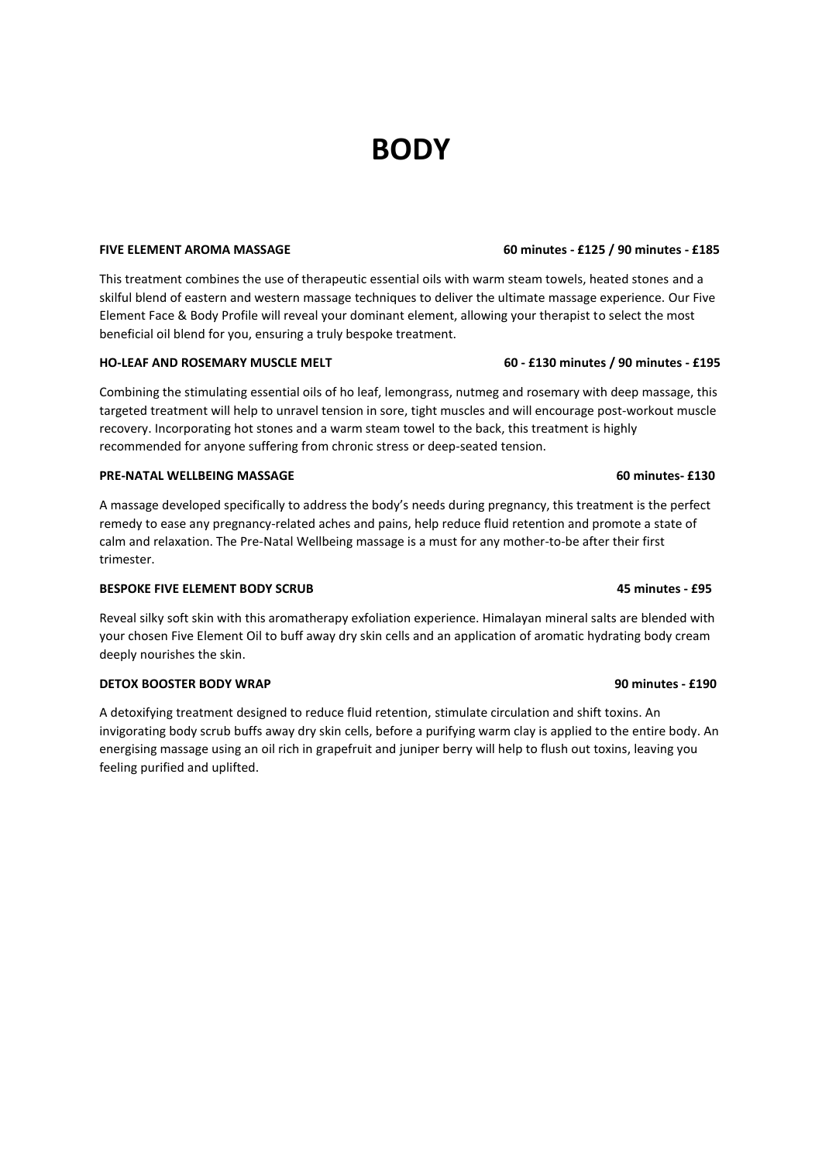## **BODY**

### **FIVE ELEMENT AROMA MASSAGE 60 minutes - £125 / 90 minutes - £185**

This treatment combines the use of therapeutic essential oils with warm steam towels, heated stones and a skilful blend of eastern and western massage techniques to deliver the ultimate massage experience. Our Five Element Face & Body Profile will reveal your dominant element, allowing your therapist to select the most beneficial oil blend for you, ensuring a truly bespoke treatment.

### **HO-LEAF AND ROSEMARY MUSCLE MELT 60 - £130 minutes / 90 minutes - £195**

Combining the stimulating essential oils of ho leaf, lemongrass, nutmeg and rosemary with deep massage, this targeted treatment will help to unravel tension in sore, tight muscles and will encourage post-workout muscle recovery. Incorporating hot stones and a warm steam towel to the back, this treatment is highly recommended for anyone suffering from chronic stress or deep-seated tension.

### **PRE-NATAL WELLBEING MASSAGE 60 minutes- £130**

A massage developed specifically to address the body's needs during pregnancy, this treatment is the perfect remedy to ease any pregnancy-related aches and pains, help reduce fluid retention and promote a state of calm and relaxation. The Pre-Natal Wellbeing massage is a must for any mother-to-be after their first trimester.

### **BESPOKE FIVE ELEMENT BODY SCRUB 45 minutes - £95**

Reveal silky soft skin with this aromatherapy exfoliation experience. Himalayan mineral salts are blended with your chosen Five Element Oil to buff away dry skin cells and an application of aromatic hydrating body cream deeply nourishes the skin.

### **DETOX BOOSTER BODY WRAP** 90 minutes - **£190**

A detoxifying treatment designed to reduce fluid retention, stimulate circulation and shift toxins. An invigorating body scrub buffs away dry skin cells, before a purifying warm clay is applied to the entire body. An energising massage using an oil rich in grapefruit and juniper berry will help to flush out toxins, leaving you feeling purified and uplifted.